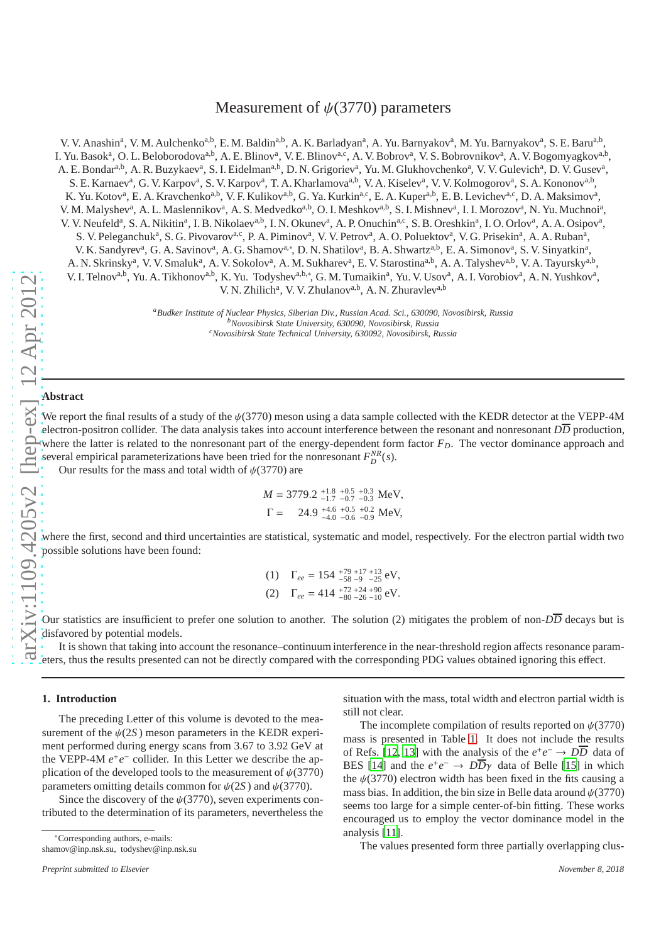# Measurement of  $\psi(3770)$  parameters

V. V. Anashin<sup>a</sup>, V. M. Aulchenko<sup>a,b</sup>, E. M. Baldin<sup>a,b</sup>, A. K. Barladyan<sup>a</sup>, A. Yu. Barnyakov<sup>a</sup>, M. Yu. Barnyakov<sup>a</sup>, S. E. Baru<sup>a,b</sup>, I. Yu. Basok<sup>a</sup>, O. L. Beloborodova<sup>a,b</sup>, A. E. Blinov<sup>a</sup>, V. E. Blinov<sup>a,c</sup>, A. V. Bobrov<sup>a</sup>, V. S. Bobrovnikov<sup>a</sup>, A. V. Bogomyagkov<sup>a,b</sup>, A. E. Bondar<sup>a,b</sup>, A. R. Buzykaev<sup>a</sup>, S. I. Eidelman<sup>a,b</sup>, D. N. Grigoriev<sup>a</sup>, Yu. M. Glukhovchenko<sup>a</sup>, V. V. Gulevich<sup>a</sup>, D. V. Gusev<sup>a</sup>, S. E. Karnaev<sup>a</sup>, G. V. Karpov<sup>a</sup>, S. V. Karpov<sup>a</sup>, T. A. Kharlamova<sup>a,b</sup>, V. A. Kiselev<sup>a</sup>, V. V. Kolmogorov<sup>a</sup>, S. A. Kononov<sup>a,b</sup>, K. Yu. Kotov<sup>a</sup>, E. A. Kravchenko<sup>a,b</sup>, V. F. Kulikov<sup>a,b</sup>, G. Ya. Kurkin<sup>a,c</sup>, E. A. Kuper<sup>a,b</sup>, E. B. Levichev<sup>a,c</sup>, D. A. Maksimov<sup>a</sup>, V. M. Malyshev<sup>a</sup>, A. L. Maslennikov<sup>a</sup>, A. S. Medvedko<sup>a,b</sup>, O. I. Meshkov<sup>a,b</sup>, S. I. Mishnev<sup>a</sup>, I. I. Morozov<sup>a</sup>, N. Yu. Muchnoi<sup>a</sup>, V. V. Neufeld<sup>a</sup>, S. A. Nikitin<sup>a</sup>, I. B. Nikolaev<sup>a,b</sup>, I. N. Okunev<sup>a</sup>, A. P. Onuchin<sup>a,c</sup>, S. B. Oreshkin<sup>a</sup>, I. O. Orlov<sup>a</sup>, A. A. Osipov<sup>a</sup>, S. V. Peleganchuk<sup>a</sup>, S. G. Pivovarov<sup>a,c</sup>, P. A. Piminov<sup>a</sup>, V. V. Petrov<sup>a</sup>, A. O. Poluektov<sup>a</sup>, V. G. Prisekin<sup>a</sup>, A. A. Ruban<sup>a</sup>, V. K. Sandyrev<sup>a</sup>, G. A. Savinov<sup>a</sup>, A. G. Shamov<sup>a,\*</sup>, D. N. Shatilov<sup>a</sup>, B. A. Shwartz<sup>a,b</sup>, E. A. Simonov<sup>a</sup>, S. V. Sinyatkin<sup>a</sup>, A. N. Skrinsky<sup>a</sup>, V. V. Smaluk<sup>a</sup>, A. V. Sokolov<sup>a</sup>, A. M. Sukharev<sup>a</sup>, E. V. Starostina<sup>a,b</sup>, A. A. Talyshev<sup>a,b</sup>, V. A. Tayursky<sup>a,b</sup>, V. I. Telnov<sup>a,b</sup>, Yu. A. Tikhonov<sup>a,b</sup>, K. Yu. Todyshev<sup>a,b,\*</sup>, G. M. Tumaikin<sup>a</sup>, Yu. V. Usov<sup>a</sup>, A. I. Vorobiov<sup>a</sup>, A. N. Yushkov<sup>a</sup>, V. N. Zhilich<sup>a</sup>, V. V. Zhulanov<sup>a,b</sup>, A. N. Zhuravlev<sup>a,b</sup> *<sup>a</sup>Budker Institute of Nuclear Physics, Siberian Div., Russian Acad. Sci., 630090, Novosibirsk, Russia*

*<sup>b</sup>Novosibirsk State University, 630090, Novosibirsk, Russia <sup>c</sup>Novosibirsk State Technical University, 630092, Novosibirsk, Russia*

# **Abstract**

We report the final results of a study of the  $\psi(3770)$  meson using a data sample collected with the KEDR detector at the VEPP-4M electron-positron collider. The data analysis takes into account interference between the resonant and nonresonant *D D* production, where the latter is related to the nonresonant part of the energy-dependent form factor  $F<sub>D</sub>$ . The vector dominance approach and several empirical parameterizations have been tried for the nonresonant  $F_D^{NR}(s)$ .

Our results for the mass and total width of  $\psi(3770)$  are

$$
M = 3779.2 \, {}^{+1.8}_{-1.7} \, {}^{+0.5}_{-0.7} \, {}^{+0.3}_{-0.3} \, \text{MeV},
$$
\n
$$
\Gamma = 24.9 \, {}^{+4.6}_{-4.0} \, {}^{+0.5}_{-0.6} \, {}^{+0.2}_{-0.9} \, \text{MeV},
$$

where the first, second and third uncertainties are statistical, systematic and model, respectively. For the electron partial width two possible solutions have been found:

(1) 
$$
\Gamma_{ee} = 154 \, {}^{+79}_{-58} \, {}^{+17}_{-9} \, {}^{+13}_{-25} \, {}^{+17}_{-25} \, {}^{+17}_{-89} \, {}^{+17}_{-26} \, {}^{+17}_{-89} \, {}^{+17}_{-26} \, {}^{+17}_{-10} \, {}^{+17}_{-10} \, {}^{+17}_{-10} \, {}^{+17}_{-10} \, {}^{+17}_{-10} \, {}^{+17}_{-10} \, {}^{+17}_{-10} \, {}^{+17}_{-10} \, {}^{+17}_{-10} \, {}^{+17}_{-10} \, {}^{+17}_{-10} \, {}^{+17}_{-10} \, {}^{+17}_{-10} \, {}^{+17}_{-10} \, {}^{+17}_{-10} \, {}^{+17}_{-10} \, {}^{+17}_{-10} \, {}^{+17}_{-10} \, {}^{+17}_{-10} \, {}^{+17}_{-10} \, {}^{+17}_{-10} \, {}^{+17}_{-10} \, {}^{+17}_{-10} \, {}^{+17}_{-10} \, {}^{+17}_{-10} \, {}^{+17}_{-10} \, {}^{+17}_{-10} \, {}^{+17}_{-10} \, {}^{+17}_{-10} \, {}^{+17}_{-10} \, {}^{+17}_{-10} \, {}^{+17}_{-10} \, {}^{+17}_{-10} \, {}^{+17}_{-10} \, {}^{+17}_{-10} \, {}^{+17}_{-10} \, {}^{+17}_{-10} \, {}^{+17}_{-10} \, {}^{+17}_{-10} \, {}^{+17}_{-10} \, {}^{+17}_{-10} \, {}^{+17}_{-10} \, {}^{+17}_{-10} \, {}^{+17}_{-10} \, {}^{+17}_{-10} \, {}^{+17}_{-10} \, {}^{+17}_{-10} \, {}^{+17}_{-10} \, {}^{+17}_{-10} \, {}^{+17}_{-10} \, {}^{+17}_{-10} \, {}^{+17}_{-10} \, {}^{+17}_{-10} \, {}^{+17}_{-10} \, {}^{
$$

Our statistics are insufficient to prefer one solution to another. The solution (2) mitigates the problem of non- $D\overline{D}$  decays but is disfavored by potential models.

It is shown that taking into account the resonance–continuum interference in the near-threshold region a ffects resonance parameters, thus the results presented can not be directly compared with the corresponding PDG values obtained ignoring this effect.

# **1. Introduction**

The preceding Letter of this volume is devoted to the measurement of the  $\psi(2S)$  meson parameters in the KEDR experiment performed during energy scans from 3.67 to 3.92 GeV at the VEPP-4M  $e^+e^-$  collider. In this Letter we describe the application of the developed tools to the measurement of  $\psi(3770)$ parameters omitting details common for  $\psi(2S)$  and  $\psi(3770)$ .

Since the discovery of the  $\psi$ (3770), seven experiments contributed to the determination of its parameters, nevertheless the situation with the mass, total width and electron partial width is still not clear.

The incomplete compilation of results reported on  $\psi$ (3770) mass is presented in Table [1.](#page-1-0) It does not include the results of Refs. [\[12](#page-9-0), [13\]](#page-9-1) with the analysis of the  $e^+e^- \rightarrow D\overline{D}$  data of BES [\[14\]](#page-9-2) and the  $e^+e^- \rightarrow D\overline{D}\gamma$  data of Belle [\[15\]](#page-9-3) in which the  $\psi(3770)$  electron width has been fixed in the fits causing a mass bias. In addition, the bin size in Belle data around  $\psi(3770)$ seems too large for a simple center-of-bin fitting. These works encouraged us to employ the vector dominance model in the analysis [\[11\]](#page-9-4).

The values presented form three partially overlapping clus -

<sup>∗</sup>Corresponding authors, e-mails:

shamov@inp.nsk.su, todyshev@inp.nsk.su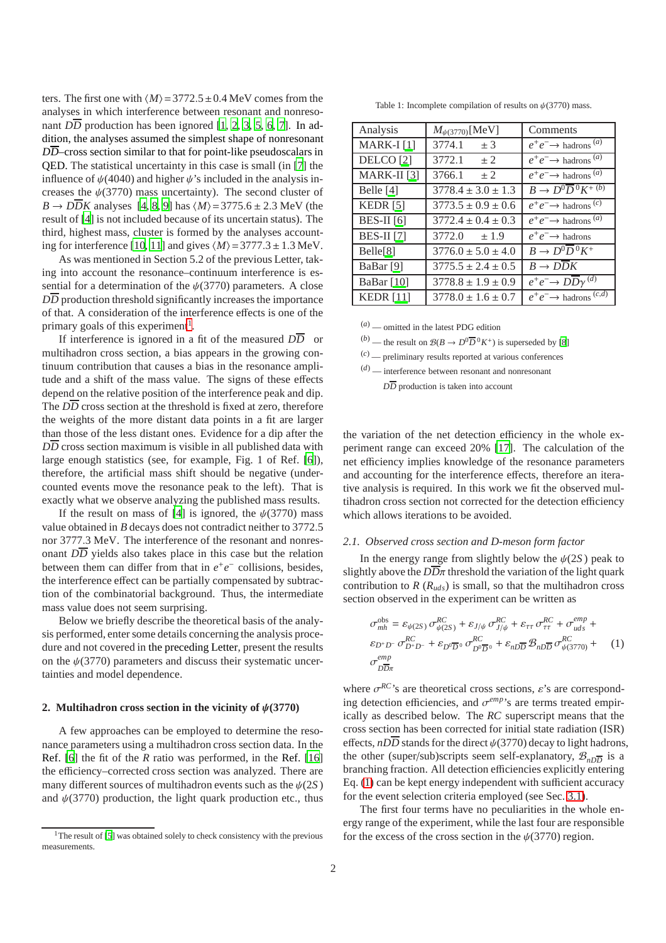ters. The first one with  $\langle M \rangle$  = 3772.5 ± 0.4 MeV comes from the analyses in which interference between resonant and nonresonant *DD* production has been ignored [\[1,](#page-9-5) [2](#page-9-6), [3,](#page-9-7) [5](#page-9-8), [6,](#page-9-9) [7](#page-9-10)]. In addition, the analyses assumed the simplest shape of nonresonant *DD*–cross section similar to that for point-like pseudoscalars in QED. The statistical uncertainty in this case is small (in [\[7\]](#page-9-10) the influence of  $\psi(4040)$  and higher  $\psi$ 's included in the analysis increases the  $\psi(3770)$  mass uncertainty). The second cluster of  $B \rightarrow D\overline{D}K$  analyses [\[4,](#page-9-11) [8,](#page-9-12) [9\]](#page-9-13) has  $\langle M \rangle$  = 3775.6 ± 2.3 MeV (the result of [\[4\]](#page-9-11) is not included because of its uncertain status). The third, highest mass, cluster is formed by the analyses account-ing for interference [\[10,](#page-9-14) [11](#page-9-4)] and gives  $\langle M \rangle$  = 3777.3 ± 1.3 MeV.

As was mentioned in Section 5.2 of the previous Letter, taking into account the resonance–continuum interference is essential for a determination of the  $\psi(3770)$  parameters. A close  $D\overline{D}$  production threshold significantly increases the importance of that. A consideration of the interference effects is one of the primary goals of this experiment<sup>[1](#page-1-1)</sup>.

If interference is ignored in a fit of the measured  $D\overline{D}$  or multihadron cross section, a bias appears in the growing continuum contribution that causes a bias in the resonance amplitude and a shift of the mass value. The signs of these effects depend on the relative position of the interference peak and dip. The  $D\overline{D}$  cross section at the threshold is fixed at zero, therefore the weights of the more distant data points in a fit are larger than those of the less distant ones. Evidence for a dip after the  $D\overline{D}$  cross section maximum is visible in all published data with large enough statistics (see, for example, Fig. 1 of Ref. [\[6\]](#page-9-9)), therefore, the artificial mass shift should be negative (undercounted events move the resonance peak to the left). That is exactly what we observe analyzing the published mass results.

If the result on mass of [\[4](#page-9-11)] is ignored, the  $\psi(3770)$  mass value obtained in *B* decays does not contradict neither to 3772.5 nor 3777.3 MeV. The interference of the resonant and nonresonant  $D\overline{D}$  yields also takes place in this case but the relation between them can differ from that in  $e^+e^-$  collisions, besides, the interference effect can be partially compensated by subtraction of the combinatorial background. Thus, the intermediate mass value does not seem surprising.

Below we briefly describe the theoretical basis of the analysis performed, enter some details concerning the analysis procedure and not covered in the preceding Letter, present the results on the  $\psi(3770)$  parameters and discuss their systematic uncertainties and model dependence.

## **2. Multihadron cross section in the vicinity of**  $\psi$ **(3770)**

A few approaches can be employed to determine the resonance parameters using a multihadron cross section data. In the Ref. [\[6](#page-9-9)] the fit of the *R* ratio was performed, in the Ref. [\[16](#page-9-15)] the efficiency–corrected cross section was analyzed. There are many different sources of multihadron events such as the  $\psi(2S)$ and  $\psi(3770)$  production, the light quark production etc., thus

<span id="page-1-0"></span>Table 1: Incomplete compilation of results on  $\psi$ (3770) mass.

| Analysis             | $M_{\psi(3770)}[\rm MeV]$ | Comments                                       |
|----------------------|---------------------------|------------------------------------------------|
| MARK-I[1]            | 3774.1<br>± 3             | $e^+e^- \rightarrow$ hadrons <sup>(a)</sup>    |
| DELCO <sup>[2]</sup> | 3772.1<br>$+2$            | $e^+e^- \rightarrow$ hadrons <sup>(a)</sup>    |
| MARK-II $[3]$        | 3766.1<br>± 2             | $e^+e^- \rightarrow$ hadrons <sup>(a)</sup>    |
| Belle [4]            | $3778.4 \pm 3.0 \pm 1.3$  | $B \to D^0 \overline{D}{}^0 K^{+(b)}$          |
| KEDR $[5]$           | $3773.5 \pm 0.9 \pm 0.6$  | $e^+e^- \rightarrow$ hadrons <sup>(c)</sup>    |
| <b>BES-II</b> [6]    | $3772.4 \pm 0.4 \pm 0.3$  | $e^+e^- \rightarrow$ hadrons <sup>(a)</sup>    |
| <b>BES-II</b> [7]    | 3772.0<br>±1.9            | $e^+e^- \rightarrow$ hadrons                   |
| Belle[8]             | $3776.0 \pm 5.0 \pm 4.0$  | $B \to D^0 \overline{D}{}^0 K^+$               |
| BaBar <sup>[9]</sup> | $3775.5 \pm 2.4 \pm 0.5$  | $B \rightarrow D D K$                          |
| BaBar [10]           | $3778.8 \pm 1.9 \pm 0.9$  | $e^+e^- \rightarrow D\overline{D}\gamma^{(d)}$ |
| <b>KEDR</b> [11]     | $3778.0 \pm 1.6 \pm 0.7$  | $e^+e^- \rightarrow$ hadrons $(c,d)$           |

(*a*) — omitted in the latest PDG edition

 $(b)$  — the result on  $\mathcal{B}(B \to D^0 \overline{D}{}^0 K^+)$  is superseded by [\[8\]](#page-9-12)

(*c*) — preliminary results reported at various conferences

(*d*) — interference between resonant and nonresonant

*DD* production is taken into account

the variation of the net detection efficiency in the whole experiment range can exceed 20% [\[17](#page-9-16)]. The calculation of the net efficiency implies knowledge of the resonance parameters and accounting for the interference effects, therefore an iterative analysis is required. In this work we fit the observed multihadron cross section not corrected for the detection efficiency which allows iterations to be avoided.

#### *2.1. Observed cross section and D-meson form factor*

In the energy range from slightly below the  $\psi(2S)$  peak to slightly above the  $D\overline{D}\pi$  threshold the variation of the light quark contribution to  $R(R_{uds})$  is small, so that the multihadron cross section observed in the experiment can be written as

<span id="page-1-2"></span>
$$
\sigma_{mh}^{\text{obs}} = \varepsilon_{\psi(2S)} \sigma_{\psi(2S)}^{RC} + \varepsilon_{J/\psi} \sigma_{J/\psi}^{RC} + \varepsilon_{\tau\tau} \sigma_{\tau\tau}^{RC} + \sigma_{uds}^{emp} + \n\varepsilon_{D^+D^-} \sigma_{D^+D^-}^{RC} + \varepsilon_{D^0\overline{D}^0} \sigma_{D^0\overline{D}^0}^{RC} + \varepsilon_{nD\overline{D}} \mathcal{B}_{nD\overline{D}} \sigma_{\psi(3770)}^{RC} + (1) \n\sigma_{D\overline{D}\pi}^{emp}
$$

where  $\sigma^{RC}$ 's are theoretical cross sections,  $\varepsilon$ 's are corresponding detection efficiencies, and  $\sigma^{emp}$ 's are terms treated empirically as described below. The *RC* superscript means that the cross section has been corrected for initial state radiation (ISR) effects,  $n\overline{D}$  stands for the direct  $\psi(3770)$  decay to light hadrons, the other (super/sub)scripts seem self-explanatory,  $\mathcal{B}_{n\overline{D}}$  is a branching fraction. All detection efficiencies explicitly entering Eq. [\(1\)](#page-1-2) can be kept energy independent with sufficient accuracy for the event selection criteria employed (see Sec. [3.1\)](#page-3-0).

The first four terms have no peculiarities in the whole energy range of the experiment, while the last four are responsible for the excess of the cross section in the  $\psi(3770)$  region.

<span id="page-1-1"></span><sup>&</sup>lt;sup>1</sup>The result of [\[5](#page-9-8)] was obtained solely to check consistency with the previous measurements.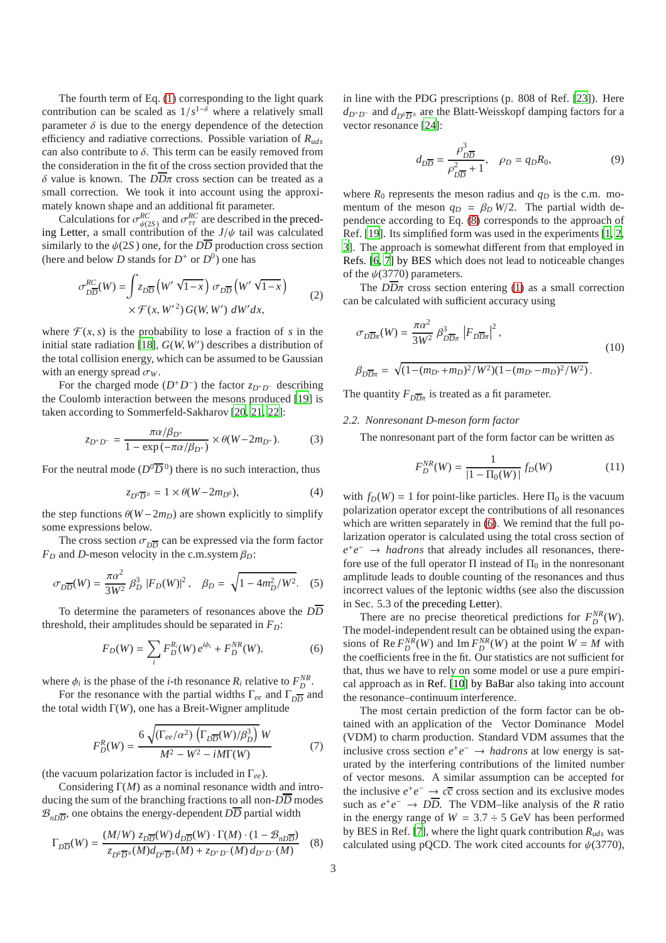The fourth term of Eq. [\(1\)](#page-1-2) corresponding to the light quark contribution can be scaled as  $1/s^{1-\delta}$  where a relatively small parameter  $\delta$  is due to the energy dependence of the detection efficiency and radiative corrections. Possible variation of *Ruds* can also contribute to  $\delta$ . This term can be easily removed from the consideration in the fit of the cross section provided that the δ value is known. The *DD*π cross section can be treated as a small correction. We took it into account using the approximately known shape and an additional fit parameter.

Calculations for  $\sigma_{\psi(2S)}^{RC}$  and  $\sigma_{\tau\tau}^{RC}$  are described in the preceding Letter, a small contribution of the  $J/\psi$  tail was calculated similarly to the  $\psi(2S)$  one, for the  $D\overline{D}$  production cross section (here and below *D* stands for  $D^+$  or  $D^0$ ) one has

$$
\sigma_{D\overline{D}}^{RC}(W) = \int z_{D\overline{D}} \left( W' \sqrt{1-x} \right) \sigma_{D\overline{D}} \left( W' \sqrt{1-x} \right) \times \mathcal{F}(x, W'^2) G(W, W') dW' dx, \tag{2}
$$

where  $\mathcal{F}(x, s)$  is the probability to lose a fraction of *s* in the initial state radiation [\[18](#page-9-17)], *G*(*W*, *W*′ ) describes a distribution of the total collision energy, which can be assumed to be Gaussian with an energy spread  $\sigma_W$ .

For the charged mode  $(D^+D^-)$  the factor  $z_{D^+D^-}$  describing the Coulomb interaction between the mesons produced [\[19\]](#page-9-18) is taken according to Sommerfeld-Sakharov [\[20,](#page-9-19) [21](#page-9-20), [22](#page-9-21)]:

$$
z_{D^+D^-} = \frac{\pi \alpha / \beta_{D^+}}{1 - \exp(-\pi \alpha / \beta_{D^+})} \times \theta(W - 2m_{D^+}).
$$
 (3)

For the neutral mode  $(D^0\overline{D}{}^0)$  there is no such interaction, thus

$$
z_{D^0\overline{D}^0} = 1 \times \theta(W - 2m_{D^0}),\tag{4}
$$

the step functions  $\theta(W - 2m_D)$  are shown explicitly to simplify some expressions below.

The cross section  $\sigma_{D\overline{D}}$  can be expressed via the form factor  $F_D$  and *D*-meson velocity in the c.m.system  $\beta_D$ :

$$
\sigma_{D\overline{D}}(W) = \frac{\pi \alpha^2}{3W^2} \beta_D^3 |F_D(W)|^2, \quad \beta_D = \sqrt{1 - 4m_D^2/W^2}.
$$
 (5)

To determine the parameters of resonances above the *DD* threshold, their amplitudes should be separated in  $F<sub>D</sub>$ :

<span id="page-2-1"></span>
$$
F_D(W) = \sum_i F_D^{R_i}(W) e^{i\phi_i} + F_D^{NR}(W), \tag{6}
$$

where  $\phi_i$  is the phase of the *i*-th resonance  $R_i$  relative to  $F_D^{NR}$ .

For the resonance with the partial widths Γ<sub>ee</sub> and Γ<sub>DD</sub> and the total width Γ(*W*), one has a Breit-Wigner amplitude

<span id="page-2-2"></span>
$$
F_D^R(W) = \frac{6\sqrt{\left(\Gamma_{ee}/\alpha^2\right)\left(\Gamma_{D\overline{D}}(W)/\beta_D^3\right)}W}{M^2 - W^2 - iM\Gamma(W)}\tag{7}
$$

(the vacuum polarization factor is included in Γ*ee*).

Considering Γ(*M*) as a nominal resonance width and introducing the sum of the branching fractions to all non-*DD* modes  $\mathcal{B}_{n\overline{D}}$ , one obtains the energy-dependent *DD* partial width

<span id="page-2-0"></span>
$$
\Gamma_{D\overline{D}}(W) = \frac{(M/W) z_{D\overline{D}}(W) d_{D\overline{D}}(W) \cdot \Gamma(M) \cdot (1 - \mathcal{B}_{nD\overline{D}})}{z_{D^0 \overline{D}^0}(M) d_{D^0 \overline{D}^0}(M) + z_{D^+ D^-}(M) d_{D^+ D^-}(M)} \tag{8}
$$

in line with the PDG prescriptions (p. 808 of Ref. [\[23\]](#page-9-22)). Here *d*<sub>*D*<sup>+</sup>*D*−</sub> and *d*<sub>*D*<sup>0</sup> $\overline{D}$ <sup>0</sup> are the Blatt-Weisskopf damping factors for a</sub> vector resonance [\[24\]](#page-9-23):

<span id="page-2-3"></span>
$$
d_{D\overline{D}} = \frac{\rho_{D\overline{D}}^3}{\rho_{D\overline{D}}^2 + 1}, \quad \rho_D = q_D R_0,
$$
\n(9)

where  $R_0$  represents the meson radius and  $q_D$  is the c.m. momentum of the meson  $q_D = \beta_D W/2$ . The partial width dependence according to Eq. [\(8\)](#page-2-0) corresponds to the approach of Ref. [\[19\]](#page-9-18). Its simplified form was used in the experiments [\[1,](#page-9-5) [2](#page-9-6), [3\]](#page-9-7). The approach is somewhat different from that employed in Refs. [\[6,](#page-9-9) [7\]](#page-9-10) by BES which does not lead to noticeable changes of the  $\psi$ (3770) parameters.

The  $D\overline{D}\pi$  cross section entering [\(1\)](#page-1-2) as a small correction can be calculated with sufficient accuracy using

<span id="page-2-5"></span>
$$
\sigma_{D\overline{D}\pi}(W) = \frac{\pi \alpha^2}{3W^2} \beta_{D\overline{D}\pi}^3 \left| F_{D\overline{D}\pi} \right|^2,
$$
\n
$$
\beta_{D\overline{D}\pi} = \sqrt{(1 - (m_{D^*} + m_D)^2 / W^2)(1 - (m_{D^*} - m_D)^2 / W^2)}.
$$
\n(10)

The quantity  $F_{D\overline{D}\pi}$  is treated as a fit parameter.

## <span id="page-2-4"></span>*2.2. Nonresonant D-meson form factor*

The nonresonant part of the form factor can be written as

$$
F_D^{NR}(W) = \frac{1}{|1 - \Pi_0(W)|} f_D(W)
$$
 (11)

with  $f_D(W) = 1$  for point-like particles. Here  $\Pi_0$  is the vacuum polarization operator except the contributions of all resonances which are written separately in  $(6)$ . We remind that the full polarization operator is calculated using the total cross section of  $e^+e^-$  → *hadrons* that already includes all resonances, therefore use of the full operator  $\Pi$  instead of  $\Pi_0$  in the nonresonant amplitude leads to double counting of the resonances and thus incorrect values of the leptonic widths (see also the discussion in Sec. 5.3 of the preceding Letter).

There are no precise theoretical predictions for  $F_D^{NR}(W)$ . The model-independent result can be obtained using the expansions of Re  $F_D^{NR}(W)$  and Im  $F_D^{NR}(W)$  at the point  $W = M$  with the coefficients free in the fit. Our statistics are not sufficient for that, thus we have to rely on some model or use a pure empirical approach as in Ref. [\[10\]](#page-9-14) by BaBar also taking into account the resonance–continuum interference.

The most certain prediction of the form factor can be obtained with an application of the Vector Dominance Model (VDM) to charm production. Standard VDM assumes that the inclusive cross section  $e^+e^- \to hadrons$  at low energy is saturated by the interfering contributions of the limited number of vector mesons. A similar assumption can be accepted for the inclusive  $e^+e^- \rightarrow c\overline{c}$  cross section and its exclusive modes such as  $e^+e^- \to D\overline{D}$ . The VDM–like analysis of the *R* ratio in the energy range of  $W = 3.7 \div 5$  GeV has been performed by BES in Ref. [\[7](#page-9-10)], where the light quark contribution *Ruds* was calculated using pQCD. The work cited accounts for  $\psi(3770)$ ,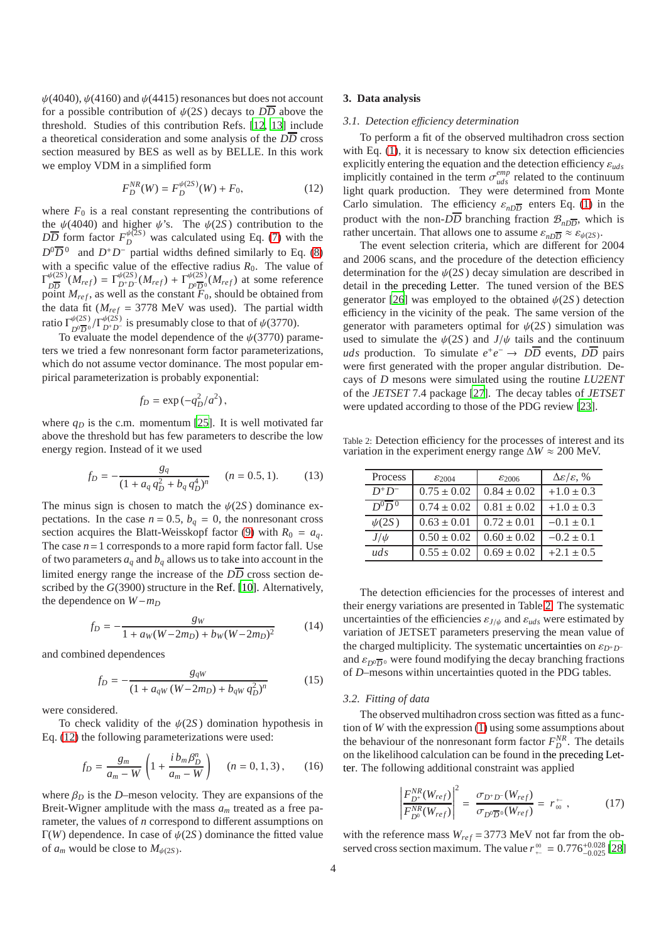$\psi$ (4040),  $\psi$ (4160) and  $\psi$ (4415) resonances but does not account for a possible contribution of  $\psi(2S)$  decays to  $D\overline{D}$  above the threshold. Studies of this contribution Refs. [\[12,](#page-9-0) [13](#page-9-1)] include a theoretical consideration and some analysis of the *DD* cross section measured by BES as well as by BELLE. In this work we employ VDM in a simplified form

<span id="page-3-1"></span>
$$
F_D^{NR}(W) = F_D^{\psi(2S)}(W) + F_0,\tag{12}
$$

where  $F_0$  is a real constant representing the contributions of the  $\psi$ (4040) and higher  $\psi$ 's. The  $\psi$ (2*S*) contribution to the  $\overline{DD}$  form factor  $F_D^{\psi(2S)}$  was calculated using Eq. [\(7\)](#page-2-2) with the  $D^0\overline{D}^0$  and  $D^+D^-$  partial widths defined similarly to Eq. [\(8\)](#page-2-0) with a specific value of the effective radius  $R_0$ . The value of  $\Gamma_{\overline{R}}^{\psi(2S)}$  $\frac{\partial \psi(2S)}{\partial \overline{D}}(M_{ref}) = \Gamma_{D^+ D^-}^{\psi(2S)}(M_{ref}) + \Gamma_{D^0 \overline{D}^0}^{\psi(2S)}(M_{ref})$  at some reference point  $M_{ref}$ , as well as the constant  $\bar{F}_0$ , should be obtained from the data fit ( $M_{ref}$  = 3778 MeV was used). The partial width ratio Γ ψ(2*S* )  $\frac{\psi(2S)}{D^0 D^0} / \Gamma_{D^+ D^-}^{\psi(2S)}$  is presumably close to that of  $\psi(3770)$ .

To evaluate the model dependence of the  $\psi(3770)$  parameters we tried a few nonresonant form factor parameterizations, which do not assume vector dominance. The most popular empirical parameterization is probably exponential:

$$
f_D = \exp(-q_D^2/a^2),
$$

where  $q<sub>D</sub>$  is the c.m. momentum [\[25\]](#page-9-24). It is well motivated far above the threshold but has few parameters to describe the low energy region. Instead of it we used

<span id="page-3-3"></span>
$$
f_D = -\frac{g_q}{(1 + a_q q_D^2 + b_q q_D^4)^n} \qquad (n = 0.5, 1).
$$
 (13)

The minus sign is chosen to match the  $\psi(2S)$  dominance expectations. In the case  $n = 0.5$ ,  $b_q = 0$ , the nonresonant cross section acquires the Blatt-Weisskopf factor [\(9\)](#page-2-3) with  $R_0 = a_q$ . The case  $n = 1$  corresponds to a more rapid form factor fall. Use of two parameters  $a_q$  and  $b_q$  allows us to take into account in the limited energy range the increase of the *DD* cross section described by the *G*(3900) structure in the Ref. [\[10\]](#page-9-14). Alternatively, the dependence on *W*−*m<sup>D</sup>*

<span id="page-3-4"></span>
$$
f_D = -\frac{g_W}{1 + a_W(W - 2m_D) + b_W(W - 2m_D)^2}
$$
 (14)

and combined dependences

<span id="page-3-5"></span>
$$
f_D = -\frac{g_{qW}}{(1 + a_{qW}(W - 2m_D) + b_{qW} q_D^2)^n}
$$
 (15)

were considered.

To check validity of the  $\psi(2S)$  domination hypothesis in Eq. [\(12\)](#page-3-1) the following parameterizations were used:

<span id="page-3-6"></span>
$$
f_D = \frac{g_m}{a_m - W} \left( 1 + \frac{i b_m \beta_D^n}{a_m - W} \right) \quad (n = 0, 1, 3), \quad (16)
$$

where  $\beta_D$  is the *D*–meson velocity. They are expansions of the Breit-Wigner amplitude with the mass *a<sup>m</sup>* treated as a free parameter, the values of *n* correspond to different assumptions on Γ(*W*) dependence. In case of ψ(2*S* ) dominance the fitted value of  $a_m$  would be close to  $M_{\psi(2S)}$ .

## <span id="page-3-0"></span>**3. Data analysis**

#### *3.1. Detection e*ffi*ciency determination*

To perform a fit of the observed multihadron cross section with Eq. [\(1\)](#page-1-2), it is necessary to know six detection efficiencies explicitly entering the equation and the detection efficiency ε*uds* implicitly contained in the term  $\sigma_{uds}^{emp}$  related to the continuum light quark production. They were determined from Monte Carlo simulation. The efficiency  $\varepsilon_{n\overline{DD}}$  enters Eq. [\(1\)](#page-1-2) in the product with the non-*DD* branching fraction  $\mathcal{B}_{n\overline{D}}$ , which is rather uncertain. That allows one to assume  $\varepsilon_{nD\overline{D}} \approx \varepsilon_{\psi(2S)}$ .

The event selection criteria, which are different for 2004 and 2006 scans, and the procedure of the detection efficiency determination for the  $\psi(2S)$  decay simulation are described in detail in the preceding Letter. The tuned version of the BES generator [\[26\]](#page-9-25) was employed to the obtained  $\psi(2S)$  detection efficiency in the vicinity of the peak. The same version of the generator with parameters optimal for  $\psi(2S)$  simulation was used to simulate the  $\psi(2S)$  and  $J/\psi$  tails and the continuum *uds* production. To simulate  $e^+e^- \rightarrow D\overline{D}$  events,  $D\overline{D}$  pairs were first generated with the proper angular distribution. Decays of *D* mesons were simulated using the routine *LU2ENT* of the *JETSET* 7.4 package [\[27\]](#page-9-26). The decay tables of *JETSET* were updated according to those of the PDG review [\[23](#page-9-22)].

Table 2: Detection efficiency for the processes of interest and its variation in the experiment energy range ∆*W* ≈ 200 MeV.

<span id="page-3-2"></span>

| Process                    | $\varepsilon_{2004}$ | $\varepsilon_{2006}$ | $\Delta \varepsilon / \varepsilon$ , % |
|----------------------------|----------------------|----------------------|----------------------------------------|
| $D^+D^-$                   | $0.75 \pm 0.02$      | $0.84 \pm 0.02$      | $+1.0 \pm 0.3$                         |
| $D^{0} \overline{D}{}^{0}$ | $0.74 \pm 0.02$      | $0.81 \pm 0.02$      | $+1.0 \pm 0.3$                         |
| $\psi(2S)$                 | $0.63 \pm 0.01$      | $0.72 \pm 0.01$      | $-0.1 \pm 0.1$                         |
| $J/\psi$                   | $0.50 \pm 0.02$      | $0.60 \pm 0.02$      | $-0.2 \pm 0.1$                         |
| uds                        | $0.55 \pm 0.02$      | $0.69 \pm 0.02$      | $+2.1 \pm 0.5$                         |

The detection efficiencies for the processes of interest and their energy variations are presented in Table [2.](#page-3-2) The systematic uncertainties of the efficiencies  $\varepsilon_{J/\psi}$  and  $\varepsilon_{uds}$  were estimated by variation of JETSET parameters preserving the mean value of the charged multiplicity. The systematic uncertainties on  $\varepsilon_{D^+D^-}$ and  $\varepsilon_{D^0\overline{D}^0}$  were found modifying the decay branching fractions of *D*–mesons within uncertainties quoted in the PDG tables.

#### <span id="page-3-7"></span>*3.2. Fitting of data*

The observed multihadron cross section was fitted as a function of *W* with the expression [\(1\)](#page-1-2) using some assumptions about the behaviour of the nonresonant form factor  $F_D^{NR}$ . The details on the likelihood calculation can be found in the preceding Letter. The following additional constraint was applied

$$
\left| \frac{F_{D^+}^{NR}(W_{ref})}{F_{D^0}^{NR}(W_{ref})} \right|^2 = \frac{\sigma_{D^+D^-}(W_{ref})}{\sigma_{D^0\overline{D}^0}(W_{ref})} = r_{\omega}^+ \,, \tag{17}
$$

with the reference mass  $W_{ref} = 3773 \text{ MeV}$  not far from the observed cross section maximum. The value  $r_{\text{+}}^{\text{00}} = 0.776_{-0.025}^{+0.028}$  [\[28](#page-9-27)]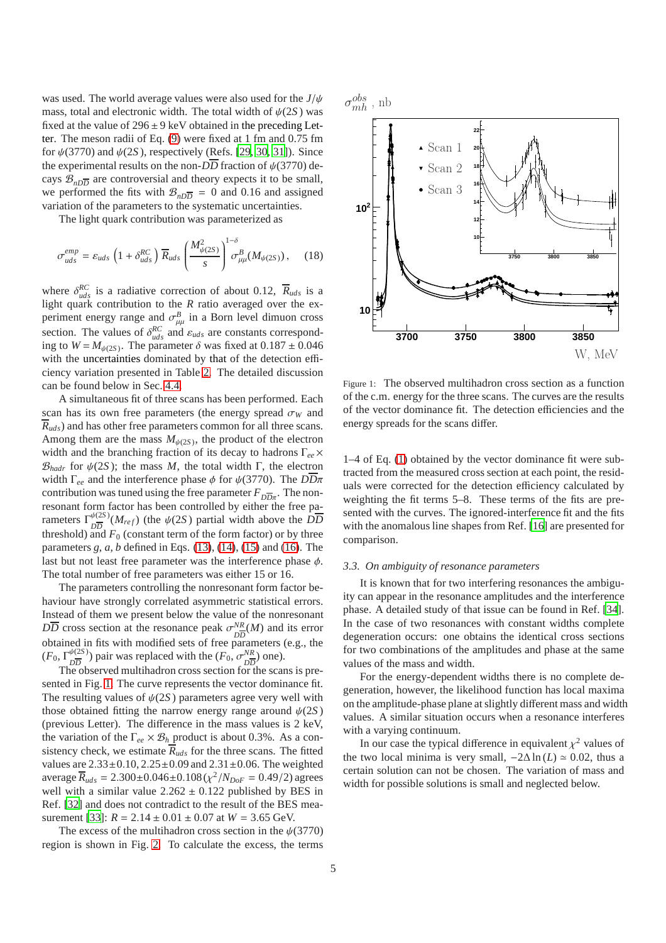was used. The world average values were also used for the *J*/ψ mass, total and electronic width. The total width of  $\psi(2S)$  was fixed at the value of  $296 \pm 9$  keV obtained in the preceding Letter. The meson radii of Eq. [\(9\)](#page-2-3) were fixed at 1 fm and 0.75 fm for  $\psi(3770)$  and  $\psi(2S)$ , respectively (Refs. [\[29,](#page-9-28) [30,](#page-9-29) [31](#page-9-30)]). Since the experimental results on the non- $D\overline{D}$  fraction of  $\psi(3770)$  decays  $\mathcal{B}_{n\overline{D}}$  are controversial and theory expects it to be small, we performed the fits with  $\mathcal{B}_{n\overline{D}} = 0$  and 0.16 and assigned variation of the parameters to the systematic uncertainties.

The light quark contribution was parameterized as

<span id="page-4-1"></span>
$$
\sigma_{uds}^{emp} = \varepsilon_{uds} \left( 1 + \delta_{uds}^{RC} \right) \overline{R}_{uds} \left( \frac{M_{\psi(2S)}^2}{s} \right)^{1-\delta} \sigma_{\mu\mu}^B(M_{\psi(2S)}) \,, \quad (18)
$$
PSfrag replacements

where  $\delta_{uds}^{RC}$  is a radiative correction of about 0.12,  $\overline{R}_{uds}$  is a light quark contribution to the *R* ratio averaged over the experiment energy range and  $\sigma_{\mu\mu}^{B}$  in a Born level dimuon cross section. The values of  $\delta_{uds}^{RC}$  and  $\varepsilon_{uds}$  are constants corresponding to  $W = M_{\psi(2S)}$ . The parameter  $\delta$  was fixed at  $0.187 \pm 0.046$ with the uncertainties dominated by that of the detection efficiency variation presented in Table [2.](#page-3-2) The detailed discussion can be found below in Sec. [4.4.](#page-7-0)

A simultaneous fit of three scans has been performed. Each scan has its own free parameters (the energy spread  $\sigma_W$  and  $\overline{R}_{uds}$ ) and has other free parameters common for all three scans. Among them are the mass  $M_{\psi(2S)}$ , the product of the electron width and the branching fraction of its decay to hadrons Γ*ee*×  $\mathcal{B}_{\text{hadr}}$  for  $\psi(2S)$ ; the mass *M*, the total width Γ, the electron width Γ*ee* and the interference phase φ for ψ(3770). The *DD*π contribution was tuned using the free parameter  $F_{D\overline{D}\pi}$ . The nonresonant form factor has been controlled by either the free parameters  $\Gamma_{\overline{2D}}^{\psi(2S)}$  $\frac{\partial \psi(z)}{\partial \overline{D}}$  (*M<sub>ref</sub>*) (the  $\psi(2S)$  partial width above the *DD* threshold) and  $F_0$  (constant term of the form factor) or by three parameters *g*, *a*, *b* defined in Eqs. [\(13\)](#page-3-3), [\(14\)](#page-3-4), [\(15\)](#page-3-5) and [\(16\)](#page-3-6). The last but not least free parameter was the interference phase  $\phi$ . The total number of free parameters was either 15 or 16.

The parameters controlling the nonresonant form factor behaviour have strongly correlated asymmetric statistical errors. Instead of them we present below the value of the nonresonant  $D\overline{D}$  cross section at the resonance peak  $\sigma_{DE}^{NR}$  $\frac{NR}{DD}(M)$  and its error obtained in fits with modified sets of free parameters (e.g., the  $(F_0, \Gamma^{\psi(2S)}_{\overline{D}})$  $\frac{\psi(2S)}{D\overline{D}}$ ) pair was replaced with the  $(F_0, \sigma_{D\overline{D}}^{NR})$  $\frac{NR}{DD}$  one).

The observed multihadron cross section for the scans is presented in Fig. [1.](#page-4-0) The curve represents the vector dominance fit. The resulting values of  $\psi(2S)$  parameters agree very well with those obtained fitting the narrow energy range around  $\psi(2S)$ (previous Letter). The difference in the mass values is 2 keV, the variation of the  $\Gamma_{ee} \times \mathcal{B}_h$  product is about 0.3%. As a consistency check, we estimate  $\overline{R}_{uds}$  for the three scans. The fitted values are  $2.33 \pm 0.10$ ,  $2.25 \pm 0.09$  and  $2.31 \pm 0.06$ . The weighted  $\overline{R}_{uds} = 2.300 \pm 0.046 \pm 0.108 (\chi^2/N_{DoF} = 0.49/2)$  agrees well with a similar value  $2.262 \pm 0.122$  published by BES in Ref. [\[32\]](#page-9-31) and does not contradict to the result of the BES mea-surement [\[33\]](#page-9-32):  $R = 2.14 \pm 0.01 \pm 0.07$  at  $W = 3.65$  GeV.

The excess of the multihadron cross section in the  $\psi(3770)$ region is shown in Fig. [2.](#page-5-0) To calculate the excess, the terms

 $\sigma^{obs}$ mh , nb



<span id="page-4-0"></span>Figure 1: The observed multihadron cross section as a function of the c.m. energy for the three scans. The curves are the results of the vector dominance fit. The detection efficiencies and the energy spreads for the scans differ.

1–4 of Eq. [\(1\)](#page-1-2) obtained by the vector dominance fit were subtracted from the measured cross section at each point, the residuals were corrected for the detection efficiency calculated by weighting the fit terms 5–8. These terms of the fits are presented with the curves. The ignored-interference fit and the fits with the anomalous line shapes from Ref. [\[16\]](#page-9-15) are presented for comparison.

## *3.3. On ambiguity of resonance parameters*

It is known that for two interfering resonances the ambiguity can appear in the resonance amplitudes and the interference phase. A detailed study of that issue can be found in Ref. [\[34\]](#page-9-33). In the case of two resonances with constant widths complete degeneration occurs: one obtains the identical cross sections for two combinations of the amplitudes and phase at the same values of the mass and width.

For the energy-dependent widths there is no complete degeneration, however, the likelihood function has local maxima on the amplitude-phase plane at slightly different mass and width values. A similar situation occurs when a resonance interferes with a varying continuum.

In our case the typical difference in equivalent  $\chi^2$  values of the two local minima is very small,  $-2\Delta \ln(L) \approx 0.02$ , thus a certain solution can not be chosen. The variation of mass and width for possible solutions is small and neglected below.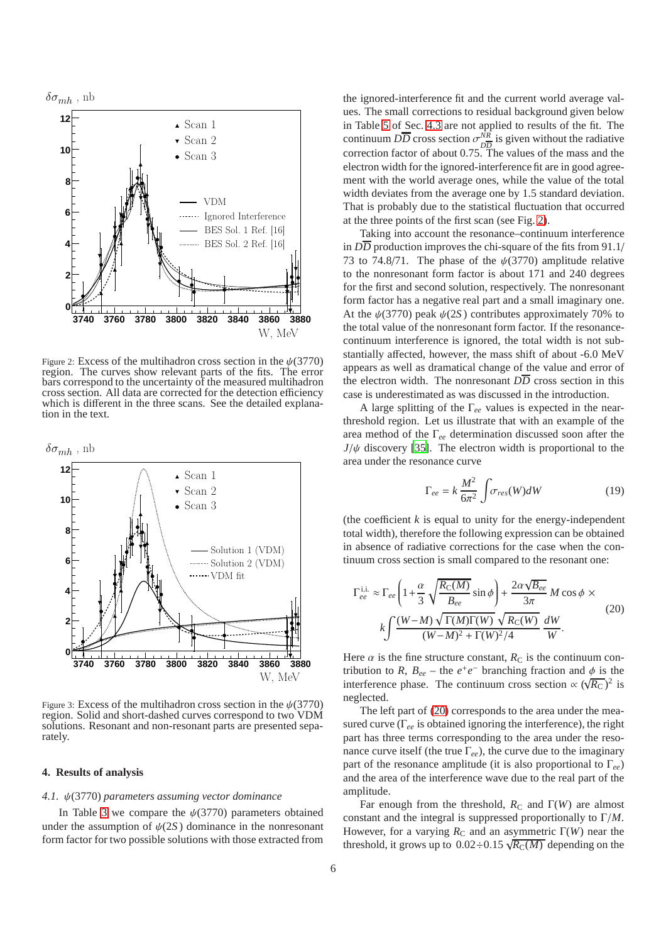

<span id="page-5-0"></span>Figure 2: Excess of the multihadron cross section in the  $\psi$ (3770) region. The curves show relevant parts of the fits. The error bars correspond to the uncertainty of the measured multihadron cross section. All data are corrected for the detection efficiency which is different in the three scans. See the detailed explanation in the text.



<span id="page-5-2"></span>Figure 3: Excess of the multihadron cross section in the  $\psi(3770)$ region. Solid and short-dashed curves correspond to two VDM solutions. Resonant and non-resonant parts are presented separately.

#### **4. Results of analysis**

#### *4.1.* ψ(3770) *parameters assuming vector dominance*

In Table [3](#page-6-0) we compare the  $\psi(3770)$  parameters obtained under the assumption of  $\psi(2S)$  dominance in the nonresonant form factor for two possible solutions with those extracted from

the ignored-interference fit and the current world average values. The small corrections to residual background given below in Table [5](#page-7-1) of Sec. [4.3](#page-7-2) are not applied to results of the fit. The continuum  $D\overline{D}$  cross section  $\sigma_{DE}^{NR}$  $\frac{NR}{DD}$  is given without the radiative correction factor of about 0.75. The values of the mass and the electron width for the ignored-interference fit are in good agreement with the world average ones, while the value of the total width deviates from the average one by 1.5 standard deviation. That is probably due to the statistical fluctuation that occurred at the three points of the first scan (see Fig. [2\)](#page-5-0).

Taking into account the resonance–continuum interference in *DD* production improves the chi-square of the fits from 91.1/ 73 to 74.8/71. The phase of the  $\psi(3770)$  amplitude relative to the nonresonant form factor is about 171 and 240 degrees for the first and second solution, respectively. The nonresonant form factor has a negative real part and a small imaginary one. At the  $\psi(3770)$  peak  $\psi(2S)$  contributes approximately 70% to the total value of the nonresonant form factor. If the resonancecontinuum interference is ignored, the total width is not substantially affected, however, the mass shift of about -6.0 MeV appears as well as dramatical change of the value and error of the electron width. The nonresonant  $D\overline{D}$  cross section in this case is underestimated as was discussed in the introduction.

A large splitting of the Γ*ee* values is expected in the nearthreshold region. Let us illustrate that with an example of the area method of the Γ*ee* determination discussed soon after the  $J/\psi$  discovery [\[35\]](#page-9-34). The electron width is proportional to the area under the resonance curve

$$
\Gamma_{ee} = k \frac{M^2}{6\pi^2} \int \sigma_{res}(W)dW \tag{19}
$$

(the coefficient  $k$  is equal to unity for the energy-independent total width), therefore the following expression can be obtained in absence of radiative corrections for the case when the continuum cross section is small compared to the resonant one:

<span id="page-5-1"></span>
$$
\Gamma_{ee}^{\text{i.i.}} \approx \Gamma_{ee} \left( 1 + \frac{\alpha}{3} \sqrt{\frac{R_{C}(M)}{B_{ee}}} \sin \phi \right) + \frac{2\alpha \sqrt{B_{ee}}}{3\pi} M \cos \phi \times k \int \frac{(W - M) \sqrt{\Gamma(M)\Gamma(W)} \sqrt{R_{C}(W)}}{(W - M)^{2} + \Gamma(W)^{2}/4} \frac{dW}{W}.
$$
\n(20)

Here  $\alpha$  is the fine structure constant,  $R_C$  is the continuum contribution to *R*,  $B_{ee}$  – the  $e^+e^-$  branching fraction and  $\phi$  is the interference phase. The continuum cross section  $\propto (\sqrt{R_{\rm C}})^2$  is neglected.

The left part of [\(20\)](#page-5-1) corresponds to the area under the measured curve (Γ*ee* is obtained ignoring the interference), the right part has three terms corresponding to the area under the resonance curve itself (the true Γ*ee*), the curve due to the imaginary part of the resonance amplitude (it is also proportional to Γ*ee*) and the area of the interference wave due to the real part of the amplitude.

Far enough from the threshold,  $R_C$  and  $\Gamma(W)$  are almost constant and the integral is suppressed proportionally to Γ/*M*. However, for a varying  $R_C$  and an asymmetric  $\Gamma(W)$  near the threshold, it grows up to  $0.02 \div 0.15 \sqrt{R_{\rm C}(M)}$  depending on the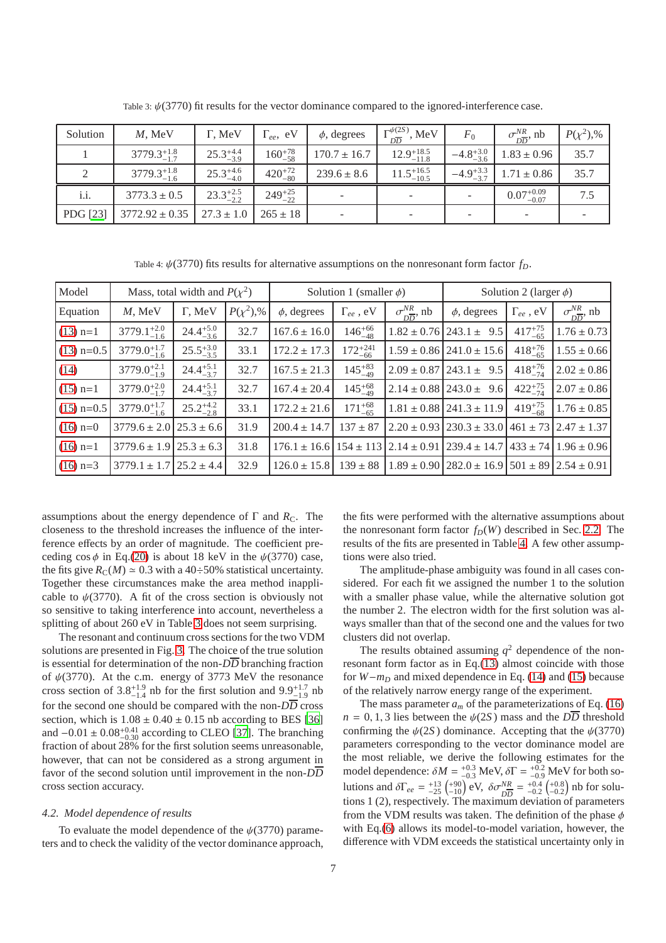| Solution | $M$ , MeV              | Γ, MeV               | $\Gamma_{ee}$ , eV | $\phi$ , degrees         | $\Gamma_{D\overline{D}}^{\psi(2S)}$ , MeV | $F_{0}$              | $\sigma_{\overline{DD}}^{NR}$ , nb | $P(\chi^2)$ ,% |
|----------|------------------------|----------------------|--------------------|--------------------------|-------------------------------------------|----------------------|------------------------------------|----------------|
|          | $3779.3_{-1.7}^{+1.8}$ | $25.3^{+4.4}_{-3.9}$ | $160^{+78}_{-58}$  | $170.7 \pm 16.7$         | $12.9^{+18.5}_{-11.8}$                    | $-4.8^{+3.0}_{-3.6}$ | $1.83 \pm 0.96$                    | 35.7           |
|          | $3779.3^{+1.8}_{-1.6}$ | $25.3^{+4.6}_{-4.0}$ | $420^{+72}_{-80}$  | $239.6 \pm 8.6$          | $11.5^{+16.5}_{-10.5}$                    | $-4.9^{+3.3}_{-3.7}$ | $1.71 \pm 0.86$                    | 35.7           |
| i.i.     | $3773.3 \pm 0.5$       | $23.3^{+2.5}_{-2.2}$ | $249^{+25}_{-22}$  | $\overline{\phantom{a}}$ |                                           |                      | $0.07^{+0.09}_{-0.07}$             | 7.5            |
| PDG [23] | $3772.92 \pm 0.35$     | $27.3 \pm 1.0$       | $265 \pm 18$       | $\overline{\phantom{a}}$ |                                           |                      | $\overline{\phantom{a}}$           |                |

<span id="page-6-0"></span>Table 3:  $\psi(3770)$  fit results for the vector dominance compared to the ignored-interference case.

<span id="page-6-1"></span>Table 4:  $\psi$ (3770) fits results for alternative assumptions on the nonresonant form factor  $f<sub>D</sub>$ .

| Model        | Mass, total width and $P(\chi^2)$ |                      |                | Solution 1 (smaller $\phi$ ) |                    |                                   | Solution 2 (larger $\phi$ )                                                                  |                    |                                    |
|--------------|-----------------------------------|----------------------|----------------|------------------------------|--------------------|-----------------------------------|----------------------------------------------------------------------------------------------|--------------------|------------------------------------|
| Equation     | $M$ , MeV                         | $\Gamma$ , MeV       | $P(\chi^2)$ ,% | $\phi$ , degrees             | $\Gamma_{ee}$ , eV | $\sigma_{\overline{D}}^{NR}$ , nb | $\phi$ , degrees                                                                             | $\Gamma_{ee}$ , eV | $\sigma_{\overline{DD}}^{NR}$ , nb |
| $(13)$ n=1   | $3779.1^{+2.0}_{-1.6}$            | $24.4^{+5.0}_{-3.6}$ | 32.7           | $167.6 \pm 16.0$             | $146^{+66}_{-48}$  |                                   | $1.82 \pm 0.76$ 243.1 $\pm$ 9.5                                                              | $417^{+75}_{-65}$  | $1.76 \pm 0.73$                    |
| $(13)$ n=0.5 | $3779.0^{+1.7}_{-1.6}$            | $25.5^{+3.0}_{-3.5}$ | 33.1           | $172.2 \pm 17.3$             | $172^{+241}_{-66}$ |                                   | $1.59 \pm 0.86$ 241.0 $\pm$ 15.6                                                             | $418^{+76}_{-65}$  | $1.55 \pm 0.66$                    |
| (14)         | $3779.0^{+2.1}_{-1.9}$            | $24.4^{+5.1}_{-3.7}$ | 32.7           | $167.5 \pm 21.3$             | $145^{+83}_{-49}$  |                                   | $2.09 \pm 0.87$ 243.1 $\pm$ 9.5                                                              | $418^{+76}_{-74}$  | $2.02 \pm 0.86$                    |
| $(15)$ n=1   | $3779.0^{+2.0}_{-1.7}$            | $24.4^{+5.1}_{-3.7}$ | 32.7           | $167.4 \pm 20.4$             | $145^{+68}_{-49}$  |                                   | $2.14 \pm 0.88$ 243.0 ± 9.6                                                                  | $422^{+75}_{-74}$  | $2.07 \pm 0.86$                    |
| $(15)$ n=0.5 | $3779.0^{+1.7}_{-1.6}$            | $25.2^{+4.2}_{-2.8}$ | 33.1           | $172.2 \pm 21.6$             | $171^{+68}_{-65}$  |                                   | $1.81 \pm 0.88$ 241.3 $\pm$ 11.9                                                             | $419^{+75}_{-68}$  | $1.76 \pm 0.85$                    |
| $(16)$ n=0   | $3779.6 \pm 2.0$ $25.3 \pm 6.6$   |                      | 31.9           | $200.4 \pm 14.7$             | $137 \pm 87$       | $2.20 \pm 0.93$                   | $\left[230.3 \pm 33.0\right]$ 461 $\pm 73$ $\left[2.47 \pm 1.37\right]$                      |                    |                                    |
| $(16)$ n=1   | $3779.6 \pm 1.9$ $25.3 \pm 6.3$   |                      | 31.8           |                              |                    |                                   | $176.1 \pm 16.6$ $154 \pm 113$ $2.14 \pm 0.91$ $239.4 \pm 14.7$ $433 \pm 74$ $1.96 \pm 0.96$ |                    |                                    |
| $(16)$ n=3   | $3779.1 \pm 1.7$ $25.2 \pm 4.4$   |                      | 32.9           | $126.0 \pm 15.8$             |                    |                                   | $139 \pm 88$   $1.89 \pm 0.90$   $282.0 \pm 16.9$   $501 \pm 89$   $2.54 \pm 0.91$           |                    |                                    |

assumptions about the energy dependence of  $\Gamma$  and  $R_C$ . The closeness to the threshold increases the influence of the interference effects by an order of magnitude. The coefficient preceding  $\cos \phi$  in Eq.[\(20\)](#page-5-1) is about 18 keV in the  $\psi(3770)$  case, the fits give  $R_C(M) \approx 0.3$  with a 40÷50% statistical uncertainty. Together these circumstances make the area method inapplicable to  $\psi(3770)$ . A fit of the cross section is obviously not so sensitive to taking interference into account, nevertheless a splitting of about 260 eV in Table [3](#page-6-0) does not seem surprising.

The resonant and continuum cross sections for the two VDM solutions are presented in Fig. [3.](#page-5-2) The choice of the true solution is essential for determination of the non- $D\overline{D}$  branching fraction of  $\psi(3770)$ . At the c.m. energy of 3773 MeV the resonance cross section of  $3.8^{+1.9}_{-1.4}$  nb for the first solution and  $9.9^{+1.7}_{-1.9}$  nb for the second one should be compared with the non- $D\overline{D}$  cross section, which is  $1.08 \pm 0.40 \pm 0.15$  nb according to BES [\[36](#page-9-35)] and  $-0.01 \pm 0.08_{-0.30}^{+0.41}$  according to CLEO [\[37](#page-9-36)]. The branching fraction of about 28% for the first solution seems unreasonable, however, that can not be considered as a strong argument in favor of the second solution until improvement in the non-*DD* cross section accuracy.

## *4.2. Model dependence of results*

To evaluate the model dependence of the  $\psi(3770)$  parameters and to check the validity of the vector dominance approach,

the fits were performed with the alternative assumptions about the nonresonant form factor  $f_D(W)$  described in Sec. [2.2.](#page-2-4) The results of the fits are presented in Table [4.](#page-6-1) A few other assumptions were also tried.

The amplitude-phase ambiguity was found in all cases considered. For each fit we assigned the number 1 to the solution with a smaller phase value, while the alternative solution got the number 2. The electron width for the first solution was always smaller than that of the second one and the values for two clusters did not overlap.

The results obtained assuming  $q^2$  dependence of the nonresonant form factor as in Eq.[\(13\)](#page-3-3) almost coincide with those for *W*−*m<sup>D</sup>* and mixed dependence in Eq. [\(14\)](#page-3-4) and [\(15\)](#page-3-5) because of the relatively narrow energy range of the experiment.

The mass parameter  $a_m$  of the parameterizations of Eq. [\(16\)](#page-3-6)  $n = 0, 1, 3$  lies between the  $\psi(2S)$  mass and the *DD* threshold confirming the  $\psi(2S)$  dominance. Accepting that the  $\psi(3770)$ parameters corresponding to the vector dominance model are the most reliable, we derive the following estimates for the model dependence:  $\delta M = {}^{+0.3}_{-0.3}$  MeV,  $\delta \Gamma = {}^{+0.2}_{-0.9}$  MeV for both solutions and  $\delta\Gamma_{ee} = \frac{+13}{-25} \left( \frac{+90}{-10} \right)$  eV,  $\delta\sigma_{D\overline{D}}^{NR} = \frac{+0.4}{-0.2} \left( \frac{+0.8}{-0.2} \right)$  nb for solutions 1 (2), respectively. The maximum deviation of parameters from the VDM results was taken. The definition of the phase  $\phi$ with Eq.[\(6\)](#page-2-1) allows its model-to-model variation, however, the difference with VDM exceeds the statistical uncertainty only in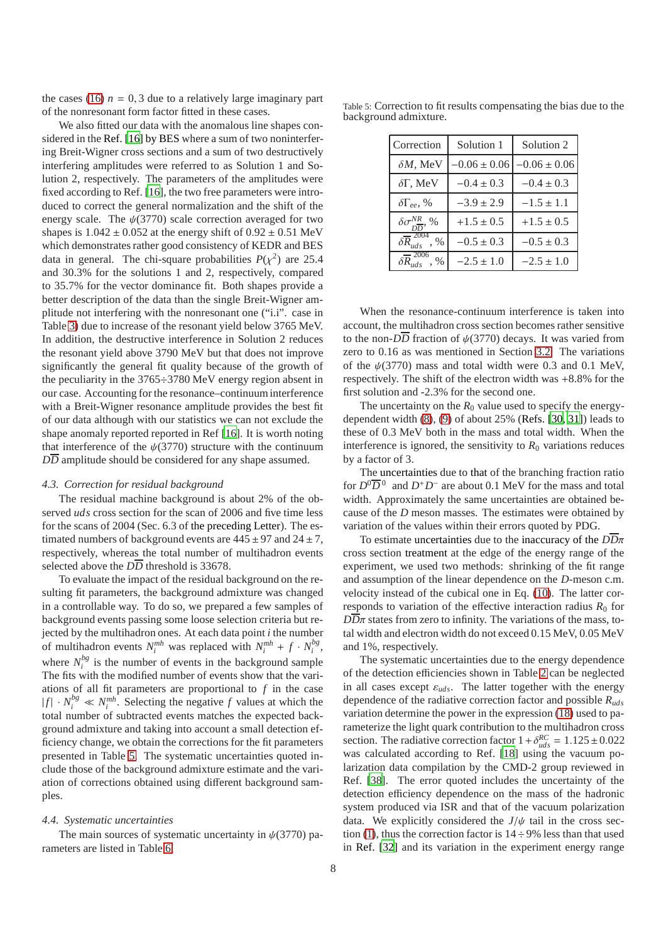the cases [\(16\)](#page-3-6)  $n = 0, 3$  due to a relatively large imaginary part of the nonresonant form factor fitted in these cases.

We also fitted our data with the anomalous line shapes considered in the Ref. [\[16\]](#page-9-15) by BES where a sum of two noninterfering Breit-Wigner cross sections and a sum of two destructively interfering amplitudes were referred to as Solution 1 and Solution 2, respectively. The parameters of the amplitudes were fixed according to Ref. [\[16\]](#page-9-15), the two free parameters were introduced to correct the general normalization and the shift of the energy scale. The  $\psi(3770)$  scale correction averaged for two shapes is  $1.042 \pm 0.052$  at the energy shift of  $0.92 \pm 0.51$  MeV which demonstrates rather good consistency of KEDR and BES data in general. The chi-square probabilities  $P(\chi^2)$  are 25.4 and 30.3% for the solutions 1 and 2, respectively, compared to 35.7% for the vector dominance fit. Both shapes provide a better description of the data than the single Breit-Wigner amplitude not interfering with the nonresonant one ("i.i". case in Table [3\)](#page-6-0) due to increase of the resonant yield below 3765 MeV. In addition, the destructive interference in Solution 2 reduces the resonant yield above 3790 MeV but that does not improve significantly the general fit quality because of the growth of the peculiarity in the 3765÷3780 MeV energy region absent in our case. Accounting for the resonance–continuum interference with a Breit-Wigner resonance amplitude provides the best fit of our data although with our statistics we can not exclude the shape anomaly reported reported in Ref [\[16](#page-9-15)]. It is worth noting that interference of the  $\psi$ (3770) structure with the continuum  $D\overline{D}$  amplitude should be considered for any shape assumed.

## <span id="page-7-2"></span>*4.3. Correction for residual background*

The residual machine background is about 2% of the observed *uds* cross section for the scan of 2006 and five time less for the scans of 2004 (Sec. 6.3 of the preceding Letter). The estimated numbers of background events are  $445 \pm 97$  and  $24 \pm 7$ , respectively, whereas the total number of multihadron events selected above the  $D\overline{D}$  threshold is 33678.

To evaluate the impact of the residual background on the resulting fit parameters, the background admixture was changed in a controllable way. To do so, we prepared a few samples of background events passing some loose selection criteria but rejected by the multihadron ones. At each data point *i* the number of multihadron events  $N_i^{mh}$  was replaced with  $N_i^{mh} + f \cdot N_i^{bg}$  $\frac{\partial g}{\partial i}$ where  $N_i^{bg}$  $\frac{b}{i}$  is the number of events in the background sample The fits with the modified number of events show that the variations of all fit parameters are proportional to *f* in the case  $|f| \cdot N_i^{bg} \ll N_i^{mh}$ . Selecting the negative *f* values at which the total number of subtracted events matches the expected background admixture and taking into account a small detection efficiency change, we obtain the corrections for the fit parameters presented in Table [5.](#page-7-1) The systematic uncertainties quoted include those of the background admixture estimate and the variation of corrections obtained using different background samples.

## <span id="page-7-0"></span>*4.4. Systematic uncertainties*

The main sources of systematic uncertainty in  $\psi(3770)$  parameters are listed in Table [6.](#page-8-0)

Table 5: Correction to fit results compensating the bias due to the background admixture.

<span id="page-7-1"></span>

| Correction                                    | Solution 1       | Solution 2       |
|-----------------------------------------------|------------------|------------------|
| $\delta M$ , MeV                              | $-0.06 \pm 0.06$ | $-0.06 \pm 0.06$ |
| $\delta\Gamma$ , MeV                          | $-0.4 \pm 0.3$   | $-0.4 \pm 0.3$   |
| $\delta\Gamma_{ee},\%$                        | $-3.9 \pm 2.9$   | $-1.5 \pm 1.1$   |
| $\delta \sigma^{NK}$ , %                      | $+1.5 \pm 0.5$   | $+1.5 \pm 0.5$   |
| $\delta \overline{R}$ <sup>2004</sup><br>$\%$ | $-0.5 \pm 0.3$   | $-0.5 \pm 0.3$   |
| $\delta \overline{P}^{2006}$<br>$\%$          | $-2.5 \pm 1.0$   | $-2.5 \pm 1.0$   |

When the resonance-continuum interference is taken into account, the multihadron cross section becomes rather sensitive to the non- $D\overline{D}$  fraction of  $\psi(3770)$  decays. It was varied from zero to 0.16 as was mentioned in Section [3.2.](#page-3-7) The variations of the  $\psi(3770)$  mass and total width were 0.3 and 0.1 MeV, respectively. The shift of the electron width was +8.8% for the first solution and -2.3% for the second one.

The uncertainty on the  $R_0$  value used to specify the energydependent width [\(8\)](#page-2-0), [\(9\)](#page-2-3) of about 25% (Refs. [\[30,](#page-9-29) [31\]](#page-9-30)) leads to these of 0.3 MeV both in the mass and total width. When the interference is ignored, the sensitivity to  $R_0$  variations reduces by a factor of 3.

The uncertainties due to that of the branching fraction ratio for  $D^0\overline{D}^0$  and  $D^+D^-$  are about 0.1 MeV for the mass and total width. Approximately the same uncertainties are obtained because of the *D* meson masses. The estimates were obtained by variation of the values within their errors quoted by PDG.

To estimate uncertainties due to the inaccuracy of the *DD*π cross section treatment at the edge of the energy range of the experiment, we used two methods: shrinking of the fit range and assumption of the linear dependence on the *D*-meson c.m. velocity instead of the cubical one in Eq. [\(10\)](#page-2-5). The latter corresponds to variation of the effective interaction radius  $R_0$  for  $D\overline{D}\pi$  states from zero to infinity. The variations of the mass, total width and electron width do not exceed 0.15 MeV, 0.05 MeV and 1%, respectively.

The systematic uncertainties due to the energy dependence of the detection efficiencies shown in Table [2](#page-3-2) can be neglected in all cases except  $\varepsilon_{uds}$ . The latter together with the energy dependence of the radiative correction factor and possible *Ruds* variation determine the power in the expression [\(18\)](#page-4-1) used to parameterize the light quark contribution to the multihadron cross section. The radiative correction factor  $1 + \delta_{uds}^{RC} = 1.125 \pm 0.022$ was calculated according to Ref. [\[18\]](#page-9-17) using the vacuum polarization data compilation by the CMD-2 group reviewed in Ref. [\[38](#page-9-37)]. The error quoted includes the uncertainty of the detection efficiency dependence on the mass of the hadronic system produced via ISR and that of the vacuum polarization data. We explicitly considered the  $J/\psi$  tail in the cross sec-tion [\(1\)](#page-1-2), thus the correction factor is  $14 \div 9\%$  less than that used in Ref. [\[32\]](#page-9-31) and its variation in the experiment energy range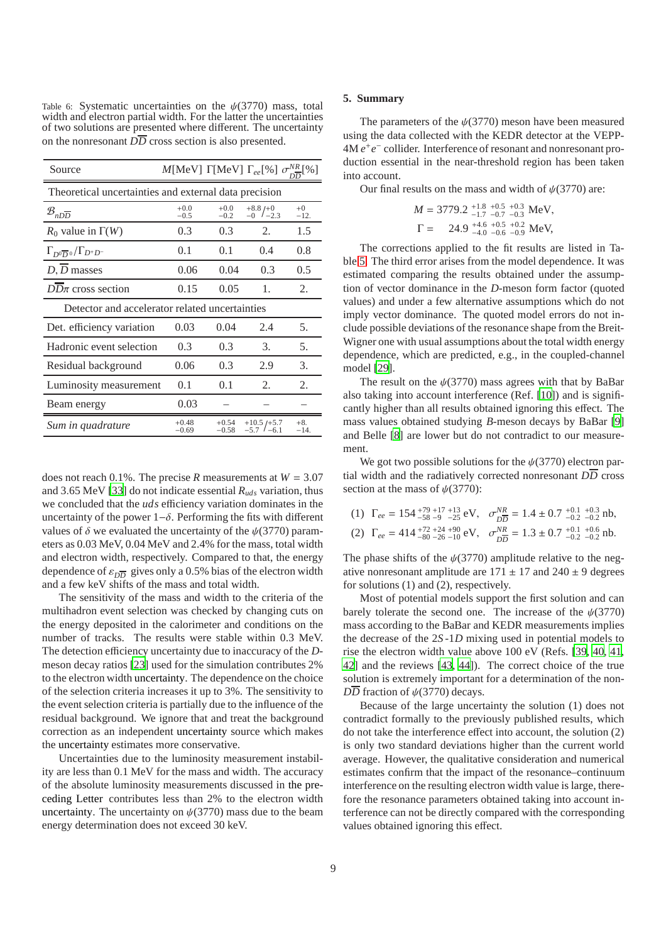<span id="page-8-0"></span>Table 6: Systematic uncertainties on the  $\psi(3770)$  mass, total width and electron partial width. For the latter the uncertainties of two solutions are presented where different. The uncertainty on the nonresonant  $D\overline{D}$  cross section is also presented.

| Source                                                | M[MeV] $\Gamma$ [MeV] $\Gamma_{ee}$ [%] $\sigma_{\overline{2}}^{NR}$ [%] |                    |                               |                 |  |  |  |
|-------------------------------------------------------|--------------------------------------------------------------------------|--------------------|-------------------------------|-----------------|--|--|--|
| Theoretical uncertainties and external data precision |                                                                          |                    |                               |                 |  |  |  |
| $\mathcal{B}_{n\overline{D}}$                         | $+0.0$<br>$-0.5$                                                         | $+0.0$<br>$-0.2$   | $^{+8.8}_{-0}/^{+0}_{-2.3}$   | $+0$<br>$-12.$  |  |  |  |
| $R_0$ value in $\Gamma(W)$                            | 0.3 <sup>2</sup>                                                         | 0.3                | 2.                            | 1.5             |  |  |  |
| $\Gamma_{D^0\overline{D}{}^0}/\Gamma_{D^+D^-}$        | 0.1                                                                      | 0.1                | 0.4                           | 0.8             |  |  |  |
| $D, D$ masses                                         | 0.06                                                                     | 0.04               | 0.3                           | 0.5             |  |  |  |
| $DD\pi$ cross section                                 | 0.15                                                                     | 0.05               | 1.                            | 2.              |  |  |  |
| Detector and accelerator related uncertainties        |                                                                          |                    |                               |                 |  |  |  |
| Det. efficiency variation                             | 0.03                                                                     | 0.04               | 2.4                           | 5.              |  |  |  |
| Hadronic event selection                              | 0.3                                                                      | 0.3                | 3.                            | 5.              |  |  |  |
| Residual background                                   | 0.06                                                                     | 0.3                | 2.9                           | 3.              |  |  |  |
| Luminosity measurement                                | 0.1                                                                      | 0.1                | 2.                            | 2.              |  |  |  |
| Beam energy                                           | 0.03                                                                     |                    |                               |                 |  |  |  |
| Sum in quadrature                                     | $+0.48$<br>$-0.69$                                                       | $+0.54$<br>$-0.58$ | $+10.5$ /+5.7<br>$-57/$ $-61$ | $+8.$<br>$-14.$ |  |  |  |

does not reach 0.1%. The precise *R* measurements at  $W = 3.07$ and 3.65 MeV [\[33\]](#page-9-32) do not indicate essential *Ruds* variation, thus we concluded that the *uds* efficiency variation dominates in the uncertainty of the power  $1-\delta$ . Performing the fits with different values of  $\delta$  we evaluated the uncertainty of the  $\psi(3770)$  parameters as 0.03 MeV, 0.04 MeV and 2.4% for the mass, total width and electron width, respectively. Compared to that, the energy dependence of  $\varepsilon_{D\overline{D}}$  gives only a 0.5% bias of the electron width and a few keV shifts of the mass and total width.

The sensitivity of the mass and width to the criteria of the multihadron event selection was checked by changing cuts on the energy deposited in the calorimeter and conditions on the number of tracks. The results were stable within 0.3 MeV. The detection efficiency uncertainty due to inaccuracy of the *D*meson decay ratios [\[23\]](#page-9-22) used for the simulation contributes 2% to the electron width uncertainty. The dependence on the choice of the selection criteria increases it up to 3%. The sensitivity to the event selection criteria is partially due to the influence of the residual background. We ignore that and treat the background correction as an independent uncertainty source which makes the uncertainty estimates more conservative.

Uncertainties due to the luminosity measurement instability are less than 0.1 MeV for the mass and width. The accuracy of the absolute luminosity measurements discussed in the preceding Letter contributes less than 2% to the electron width uncertainty. The uncertainty on  $\psi(3770)$  mass due to the beam energy determination does not exceed 30 keV.

#### **5. Summary**

The parameters of the  $\psi$ (3770) meson have been measured using the data collected with the KEDR detector at the VEPP-4M *e*<sup>+</sup> *e*<sup>−</sup> collider. Interference of resonant and nonresonant production essential in the near-threshold region has been taken into account.

Our final results on the mass and width of  $\psi(3770)$  are:

$$
M = 3779.2 \, {}^{+1.8}_{-1.7} \, {}^{+0.5}_{-0.7} \, {}^{+0.3}_{-0.3} \, \text{MeV},
$$
\n
$$
\Gamma = 24.9 \, {}^{+4.6}_{-4.0} \, {}^{+0.5}_{-0.6} \, {}^{+0.2}_{-0.9} \, \text{MeV},
$$

The corrections applied to the fit results are listed in Table [5.](#page-7-1) The third error arises from the model dependence. It was estimated comparing the results obtained under the assumption of vector dominance in the *D*-meson form factor (quoted values) and under a few alternative assumptions which do not imply vector dominance. The quoted model errors do not include possible deviations of the resonance shape from the Breit-Wigner one with usual assumptions about the total width energy dependence, which are predicted, e.g., in the coupled-channel model [\[29](#page-9-28)].

The result on the  $\psi(3770)$  mass agrees with that by BaBar also taking into account interference (Ref. [\[10\]](#page-9-14)) and is significantly higher than all results obtained ignoring this effect. The mass values obtained studying *B*-meson decays by BaBar [\[9](#page-9-13)] and Belle [\[8](#page-9-12)] are lower but do not contradict to our measurement.

We got two possible solutions for the  $\psi(3770)$  electron partial width and the radiatively corrected nonresonant  $D\overline{D}$  cross section at the mass of  $\psi(3770)$ :

(1)  $\Gamma_{ee} = 154^{+79+17+13}_{-58-9}$   $_{-25}^{48}$  eV,  $\sigma_{\overline{DD}}^{NR} = 1.4 \pm 0.7^{+0.1}_{-0.2}$   $_{-0.2}^{+0.1}$  nb, (2)  $\Gamma_{ee} = 414^{+72+24+90}_{-80-26-10}$  eV,  $\sigma_{\overline{DD}}^{NR} = 1.3 \pm 0.7^{+0.1}_{-0.2}{}^{+0.6}_{-0.2}{}^{+0.6}_{-0.2}{}^{+0.6}_{-0.2}{}^{+0.6}_{-0.2}$ 

The phase shifts of the  $\psi(3770)$  amplitude relative to the negative nonresonant amplitude are  $171 \pm 17$  and  $240 \pm 9$  degrees for solutions (1) and (2), respectively.

Most of potential models support the first solution and can barely tolerate the second one. The increase of the  $\psi(3770)$ mass according to the BaBar and KEDR measurements implies the decrease of the 2*S* -1*D* mixing used in potential models to rise the electron width value above 100 eV (Refs. [\[39](#page-9-38), [40,](#page-9-39) [41](#page-9-40), [42\]](#page-9-41) and the reviews [\[43](#page-9-42), [44](#page-9-43)]). The correct choice of the true solution is extremely important for a determination of the non- $D\overline{D}$  fraction of  $\psi$ (3770) decays.

Because of the large uncertainty the solution (1) does not contradict formally to the previously published results, which do not take the interference effect into account, the solution (2) is only two standard deviations higher than the current world average. However, the qualitative consideration and numerical estimates confirm that the impact of the resonance–continuum interference on the resulting electron width value is large, therefore the resonance parameters obtained taking into account interference can not be directly compared with the corresponding values obtained ignoring this effect.